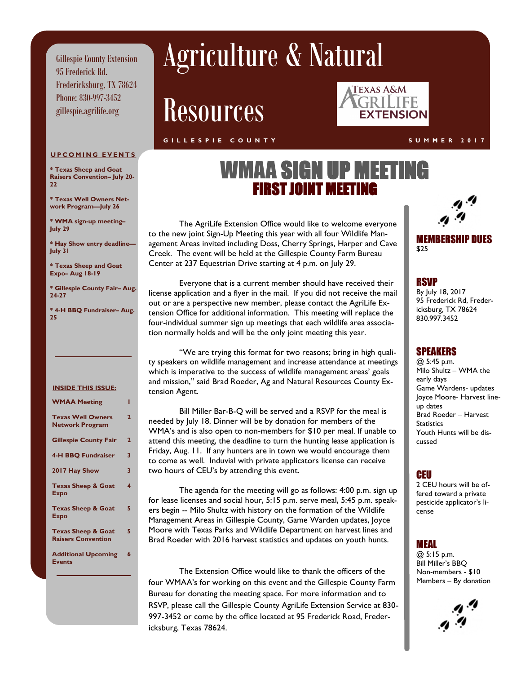Gillespie County Extension 95 Frederick Rd. Fredericksburg, TX 78624 Phone: 830-997-3452 gillespie.agrilife.org

# Agriculture & Natural

# Resources

#### **G I L L E S P I E C O U N T Y S U M M E R 2 0 1 7**



#### **UPCOMING EVENTS**

**\* Texas Sheep and Goat Raisers Convention– July 20- 22**

**\* Texas Well Owners Network Program—July 26**

**\* WMA sign-up meeting– July 29**

**\* Hay Show entry deadline— July 31**

**\* Texas Sheep and Goat Expo– Aug 18-19**

**\* Gillespie County Fair– Aug. 24-27**

**\* 4-H BBQ Fundraiser– Aug. 25**

#### **INSIDE THIS ISSUE:**

| <b>WMAA Meeting</b>                                        |   |
|------------------------------------------------------------|---|
| <b>Texas Well Owners</b><br><b>Network Program</b>         | 2 |
| <b>Gillespie County Fair</b>                               | 2 |
| <b>4-H BBQ Fundraiser</b>                                  | 3 |
| 2017 Hay Show                                              | 3 |
| <b>Texas Sheep &amp; Goat</b><br>Expo                      | 4 |
| <b>Texas Sheep &amp; Goat</b><br>Expo                      | 5 |
| <b>Texas Sheep &amp; Goat</b><br><b>Raisers Convention</b> | 5 |
| <b>Additional Upcoming</b><br><b>Events</b>                | 6 |

## WMAA SIGN UP MEETING **FIRST IQINT MEETI**

The AgriLife Extension Office would like to welcome everyone to the new joint Sign-Up Meeting this year with all four Wildlife Management Areas invited including Doss, Cherry Springs, Harper and Cave Creek. The event will be held at the Gillespie County Farm Bureau Center at 237 Equestrian Drive starting at 4 p.m. on July 29.

Everyone that is a current member should have received their license application and a flyer in the mail. If you did not receive the mail out or are a perspective new member, please contact the AgriLife Extension Office for additional information. This meeting will replace the four-individual summer sign up meetings that each wildlife area association normally holds and will be the only joint meeting this year.

"We are trying this format for two reasons; bring in high quality speakers on wildlife management and increase attendance at meetings which is imperative to the success of wildlife management areas' goals and mission," said Brad Roeder, Ag and Natural Resources County Extension Agent.

Bill Miller Bar-B-Q will be served and a RSVP for the meal is needed by July 18. Dinner will be by donation for members of the WMA's and is also open to non-members for \$10 per meal. If unable to attend this meeting, the deadline to turn the hunting lease application is Friday, Aug. 11. If any hunters are in town we would encourage them to come as well. Induvial with private applicators license can receive two hours of CEU's by attending this event.

The agenda for the meeting will go as follows: 4:00 p.m. sign up for lease licenses and social hour, 5:15 p.m. serve meal, 5:45 p.m. speakers begin -- Milo Shultz with history on the formation of the Wildlife Management Areas in Gillespie County, Game Warden updates, Joyce Moore with Texas Parks and Wildlife Department on harvest lines and Brad Roeder with 2016 harvest statistics and updates on youth hunts.

The Extension Office would like to thank the officers of the four WMAA's for working on this event and the Gillespie County Farm Bureau for donating the meeting space. For more information and to RSVP, please call the Gillespie County AgriLife Extension Service at 830- 997-3452 or come by the office located at 95 Frederick Road, Fredericksburg, Texas 78624.

MEMBERSHIP DUES \$25

### **RSVP**

By July 18, 2017 95 Frederick Rd, Fredericksburg, TX 78624 830.997.3452

#### SPEAKERS

@ 5:45 p.m. Milo Shultz – WMA the early days Game Wardens- updates Joyce Moore- Harvest lineup dates Brad Roeder – Harvest **Statistics** Youth Hunts will be discussed

### CEU

2 CEU hours will be offered toward a private pesticide applicator's license

### MEAL

@ 5:15 p.m. Bill Miller's BBQ Non-members - \$10 Members – By donation

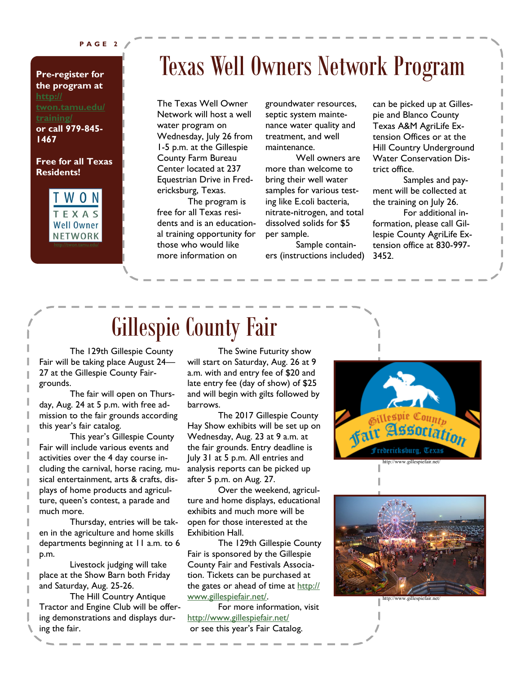#### **P A G E 2**

### **Pre-register for the program at [http://](http://twon.tamu.edu/training/) [training/](http://twon.tamu.edu/training/) or call 979-845- 1467**

#### **Free for all Texas Residents!**



# Texas Well Owners Network Program

The Texas Well Owner Network will host a well water program on Wednesday, July 26 from 1-5 p.m. at the Gillespie County Farm Bureau Center located at 237 Equestrian Drive in Fredericksburg, Texas.

The program is free for all Texas residents and is an educational training opportunity for those who would like more information on

groundwater resources, septic system maintenance water quality and treatment, and well maintenance.

Well owners are more than welcome to bring their well water samples for various testing like E.coli bacteria, nitrate-nitrogen, and total dissolved solids for \$5 per sample.

Sample containers (instructions included) can be picked up at Gillespie and Blanco County Texas A&M AgriLife Extension Offices or at the Hill Country Underground Water Conservation District office.

Samples and payment will be collected at the training on July 26.

For additional information, please call Gillespie County AgriLife Extension office at 830-997- 3452.

# Gillespie County Fair

The 129th Gillespie County Fair will be taking place August 24— 27 at the Gillespie County Fairgrounds.

The fair will open on Thursday, Aug. 24 at 5 p.m. with free admission to the fair grounds according this year's fair catalog.

This year's Gillespie County Fair will include various events and activities over the 4 day course including the carnival, horse racing, musical entertainment, arts & crafts, displays of home products and agriculture, queen's contest, a parade and much more.

Thursday, entries will be taken in the agriculture and home skills departments beginning at 11 a.m. to 6 p.m.

Livestock judging will take place at the Show Barn both Friday and Saturday, Aug. 25-26.

The Hill Country Antique Tractor and Engine Club will be offering demonstrations and displays during the fair.

The Swine Futurity show will start on Saturday, Aug. 26 at 9 a.m. with and entry fee of \$20 and late entry fee (day of show) of \$25 and will begin with gilts followed by barrows.

The 2017 Gillespie County Hay Show exhibits will be set up on Wednesday, Aug. 23 at 9 a.m. at the fair grounds. Entry deadline is July 31 at 5 p.m. All entries and analysis reports can be picked up after 5 p.m. on Aug. 27.

Over the weekend, agriculture and home displays, educational exhibits and much more will be open for those interested at the Exhibition Hall.

The 129th Gillespie County Fair is sponsored by the Gillespie County Fair and Festivals Association. Tickets can be purchased at the gates or ahead of time at [http://](http://www.gillespiefair.net/) [www.gillespiefair.net/.](http://www.gillespiefair.net/)

For more information, visit <http://www.gillespiefair.net/> or see this year's Fair Catalog.





http://www.gillespiefair.net/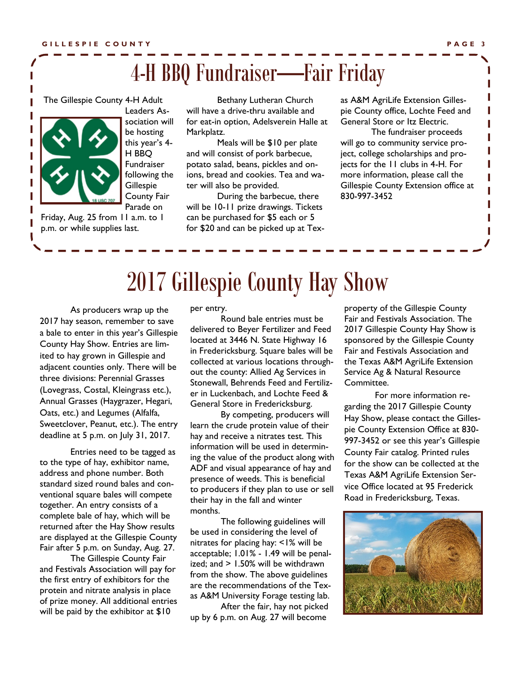# 4-H BBQ Fundraiser—Fair Friday

The Gillespie County 4-H Adult



Leaders Association will be hosting this year's 4- H BBQ Fundraiser following the **Gillespie** County Fair Parade on

Friday, Aug. 25 from 11 a.m. to 1 p.m. or while supplies last.

Bethany Lutheran Church will have a drive-thru available and for eat-in option, Adelsverein Halle at Markplatz.

Meals will be \$10 per plate and will consist of pork barbecue, potato salad, beans, pickles and onions, bread and cookies. Tea and water will also be provided.

During the barbecue, there will be 10-11 prize drawings. Tickets can be purchased for \$5 each or 5 for \$20 and can be picked up at Texas A&M AgriLife Extension Gillespie County office, Lochte Feed and General Store or Itz Electric.

The fundraiser proceeds will go to community service project, college scholarships and projects for the 11 clubs in 4-H. For more information, please call the Gillespie County Extension office at 830-997-3452

# 2017 Gillespie County Hay Show

As producers wrap up the 2017 hay season, remember to save a bale to enter in this year's Gillespie County Hay Show. Entries are limited to hay grown in Gillespie and adjacent counties only. There will be three divisions: Perennial Grasses (Lovegrass, Costal, Kleingrass etc.), Annual Grasses (Haygrazer, Hegari, Oats, etc.) and Legumes (Alfalfa, Sweetclover, Peanut, etc.). The entry deadline at 5 p.m. on July 31, 2017.

Entries need to be tagged as to the type of hay, exhibitor name, address and phone number. Both standard sized round bales and conventional square bales will compete together. An entry consists of a complete bale of hay, which will be returned after the Hay Show results are displayed at the Gillespie County Fair after 5 p.m. on Sunday, Aug. 27.

The Gillespie County Fair and Festivals Association will pay for the first entry of exhibitors for the protein and nitrate analysis in place of prize money. All additional entries will be paid by the exhibitor at \$10

per entry.

Round bale entries must be delivered to Beyer Fertilizer and Feed located at 3446 N. State Highway 16 in Fredericksburg. Square bales will be collected at various locations throughout the county: Allied Ag Services in Stonewall, Behrends Feed and Fertilizer in Luckenbach, and Lochte Feed & General Store in Fredericksburg.

By competing, producers will learn the crude protein value of their hay and receive a nitrates test. This information will be used in determining the value of the product along with ADF and visual appearance of hay and presence of weeds. This is beneficial to producers if they plan to use or sell their hay in the fall and winter months.

The following guidelines will be used in considering the level of nitrates for placing hay: <1% will be acceptable; 1.01% - 1.49 will be penalized; and > 1.50% will be withdrawn from the show. The above guidelines are the recommendations of the Texas A&M University Forage testing lab.

After the fair, hay not picked up by 6 p.m. on Aug. 27 will become

property of the Gillespie County Fair and Festivals Association. The 2017 Gillespie County Hay Show is sponsored by the Gillespie County Fair and Festivals Association and the Texas A&M AgriLife Extension Service Ag & Natural Resource Committee.

For more information regarding the 2017 Gillespie County Hay Show, please contact the Gillespie County Extension Office at 830- 997-3452 or see this year's Gillespie County Fair catalog. Printed rules for the show can be collected at the Texas A&M AgriLife Extension Service Office located at 95 Frederick Road in Fredericksburg, Texas.

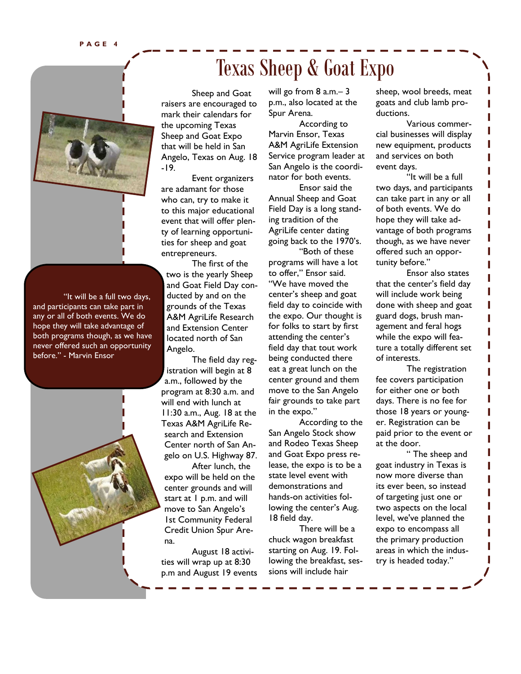

"It will be a full two days, and participants can take part in any or all of both events. We do hope they will take advantage of both programs though, as we have never offered such an opportunity before." - Marvin Ensor



# Texas Sheep & Goat Expo

Sheep and Goat raisers are encouraged to mark their calendars for the upcoming Texas Sheep and Goat Expo that will be held in San Angelo, Texas on Aug. 18 -19.

Event organizers are adamant for those who can, try to make it to this major educational event that will offer plenty of learning opportunities for sheep and goat entrepreneurs.

The first of the two is the yearly Sheep and Goat Field Day conducted by and on the grounds of the Texas A&M AgriLife Research and Extension Center located north of San Angelo.

The field day registration will begin at 8 a.m., followed by the program at 8:30 a.m. and will end with lunch at 11:30 a.m., Aug. 18 at the Texas A&M AgriLife Research and Extension Center north of San Angelo on U.S. Highway 87.

After lunch, the expo will be held on the center grounds and will start at 1 p.m. and will move to San Angelo's 1st Community Federal Credit Union Spur Arena.

August 18 activities will wrap up at 8:30 p.m and August 19 events will go from 8 a.m.– 3 p.m., also located at the Spur Arena.

According to Marvin Ensor, Texas A&M AgriLife Extension Service program leader at San Angelo is the coordinator for both events.

Ensor said the Annual Sheep and Goat Field Day is a long standing tradition of the AgriLife center dating going back to the 1970's.

"Both of these programs will have a lot to offer," Ensor said. "We have moved the center's sheep and goat field day to coincide with the expo. Our thought is for folks to start by first attending the center's field day that tout work being conducted there eat a great lunch on the center ground and them move to the San Angelo fair grounds to take part in the expo."

According to the San Angelo Stock show and Rodeo Texas Sheep and Goat Expo press release, the expo is to be a state level event with demonstrations and hands-on activities following the center's Aug. 18 field day.

There will be a chuck wagon breakfast starting on Aug. 19. Following the breakfast, sessions will include hair

sheep, wool breeds, meat goats and club lamb productions.

Various commercial businesses will display new equipment, products and services on both event days.

"It will be a full two days, and participants can take part in any or all of both events. We do hope they will take advantage of both programs though, as we have never offered such an opportunity before."

Ensor also states that the center's field day will include work being done with sheep and goat guard dogs, brush management and feral hogs while the expo will feature a totally different set of interests.

The registration fee covers participation for either one or both days. There is no fee for those 18 years or younger. Registration can be paid prior to the event or at the door.

" The sheep and goat industry in Texas is now more diverse than its ever been, so instead of targeting just one or two aspects on the local level, we've planned the expo to encompass all the primary production areas in which the industry is headed today."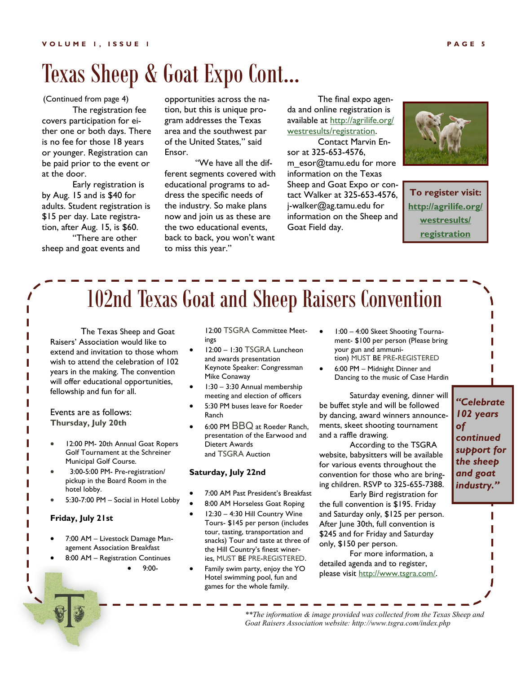# Texas Sheep & Goat Expo Cont...

(Continued from page 4)

The registration fee covers participation for either one or both days. There is no fee for those 18 years or younger. Registration can be paid prior to the event or at the door.

Early registration is by Aug. 15 and is \$40 for adults. Student registration is \$15 per day. Late registration, after Aug. 15, is \$60. "There are other

sheep and goat events and

opportunities across the nation, but this is unique program addresses the Texas area and the southwest par of the United States," said Ensor.

"We have all the different segments covered with educational programs to address the specific needs of the industry. So make plans now and join us as these are the two educational events, back to back, you won't want to miss this year."

The final expo agenda and online registration is available at [http://agrilife.org/](http://agrilife.org/westresults/registration/) [westresults/registration.](http://agrilife.org/westresults/registration/) Contact Marvin Ensor at 325-653-4576, m\_esor@tamu.edu for more information on the Texas Sheep and Goat Expo or contact Walker at 325-653-4576, j-walker@ag.tamu.edu for information on the Sheep and Goat Field day.



**To register visit: [http://agrilife.org/](http://agrilife.org/westresults/registration/) [westresults/](http://agrilife.org/westresults/registration/) [registration](http://agrilife.org/westresults/registration/)**

# 102nd Texas Goat and Sheep Raisers Convention

The Texas Sheep and Goat Raisers' Association would like to extend and invitation to those whom wish to attend the celebration of 102 years in the making. The convention will offer educational opportunities, fellowship and fun for all.

#### Events are as follows: **Thursday, July 20th**

- 12:00 PM- 20th Annual Goat Ropers Golf Tournament at the Schreiner Municipal Golf Course.
- 3:00-5:00 PM- Pre-registration/ pickup in the Board Room in the hotel lobby.
- 5:30-7:00 PM Social in Hotel Lobby

#### **Friday, July 21st**

- 7:00 AM Livestock Damage Management Association Breakfast
- 8:00 AM Registration Continues
	- 9:00-

12:00 TSGRA Committee Meetings

- 12:00 1:30 TSGRA Luncheon and awards presentation Keynote Speaker: Congressman Mike Conaway
- 1:30 3:30 Annual membership meeting and election of officers
- 5:30 PM buses leave for Roeder Ranch
- 6:00 PM BBQ at Roeder Ranch, presentation of the Earwood and Dietert Awards and TSGRA Auction

#### **Saturday, July 22nd**

- 7:00 AM Past President's Breakfast
- 8:00 AM Horseless Goat Roping
- 12:30 4:30 Hill Country Wine Tours- \$145 per person (includes tour, tasting, transportation and snacks) Tour and taste at three of the Hill Country's finest wineries, MUST BE PRE-REGISTERED.
- Family swim party, enjoy the YO Hotel swimming pool, fun and games for the whole family.
- 1:00 4:00 Skeet Shooting Tournament- \$100 per person (Please bring your gun and ammunition) MUST BE PRE-REGISTERED
- 6:00 PM Midnight Dinner and Dancing to the music of Case Hardin

Saturday evening, dinner will be buffet style and will be followed by dancing, award winners announcements, skeet shooting tournament and a raffle drawing.

According to the TSGRA website, babysitters will be available for various events throughout the convention for those who are bringing children. RSVP to 325-655-7388.

Early Bird registration for the full convention is \$195. Friday and Saturday only, \$125 per person. After June 30th, full convention is \$245 and for Friday and Saturday only, \$150 per person.

For more information, a detailed agenda and to register, please visit [http://www.tsgra.com/.](http://www.tsgra.com/)

*"Celebrate 102 years of continued support for the sheep and goat industry."*

*\*\*The information & image provided was collected from the Texas Sheep and Goat Raisers Association website: http://www.tsgra.com/index.php*